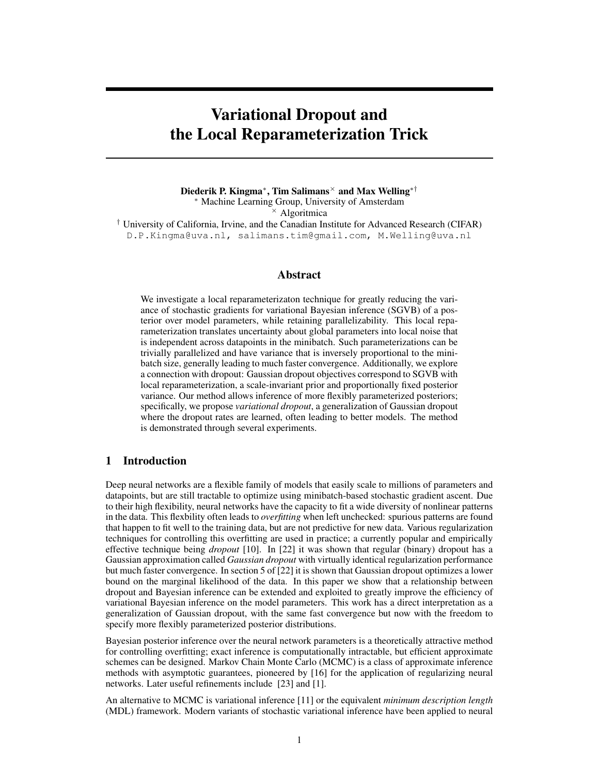# <span id="page-0-0"></span>Variational Dropout and the Local Reparameterization Trick

Diederik P. Kingma<sup>\*</sup>, Tim Salimans<sup>×</sup> and Max Welling<sup>\*†</sup> ⇤ Machine Learning Group, University of Amsterdam  $\times$  Algoritmica

*†* University of California, Irvine, and the Canadian Institute for Advanced Research (CIFAR) D.P.Kingma@uva.nl, salimans.tim@gmail.com, M.Welling@uva.nl

# Abstract

<span id="page-0-2"></span><span id="page-0-1"></span>We investigate a local reparameterizaton technique for greatly reducing the variance of stochastic gradients for variational Bayesian inference (SGVB) of a posterior over model parameters, while retaining parallelizability. This local reparameterization translates uncertainty about global parameters into local noise that is independent across datapoints in the minibatch. Such parameterizations can be trivially parallelized and have variance that is inversely proportional to the minibatch size, generally leading to much faster convergence. Additionally, we explore a connection with dropout: Gaussian dropout objectives correspond to SGVB with local reparameterization, a scale-invariant prior and proportionally fixed posterior variance. Our method allows inference of more flexibly parameterized posteriors; specifically, we propose *variational dropout*, a generalization of Gaussian dropout where the dropout rates are learned, often leading to better models. The method is demonstrated through several experiments.

## 1 Introduction

<span id="page-0-3"></span>Deep neural networks are a flexible family of models that easily scale to millions of parameters and datapoints, but are still tractable to optimize using minibatch-based stochastic gradient ascent. Due to their high flexibility, neural networks have the capacity to fit a wide diversity of nonlinear patterns in the data. This flexbility often leads to *overfitting* when left unchecked: spurious patterns are found that happen to fit well to the training data, but are not predictive for new data. Various regularization techniques for controlling this overfitting are used in practice; a currently popular and empirically effective technique being *dropout* [\[10\]](#page-8-0). In [\[22\]](#page-8-1) it was shown that regular (binary) dropout has a Gaussian approximation called *Gaussian dropout* with virtually identical regularization performance but much faster convergence. In section 5 of [\[22\]](#page-8-1) it is shown that Gaussian dropout optimizes a lower bound on the marginal likelihood of the data. In this paper we show that a relationship between dropout and Bayesian inference can be extended and exploited to greatly improve the efficiency of variational Bayesian inference on the model parameters. This work has a direct interpretation as a generalization of Gaussian dropout, with the same fast convergence but now with the freedom to specify more flexibly parameterized posterior distributions.

Bayesian posterior inference over the neural network parameters is a theoretically attractive method for controlling overfitting; exact inference is computationally intractable, but efficient approximate schemes can be designed. Markov Chain Monte Carlo (MCMC) is a class of approximate inference methods with asymptotic guarantees, pioneered by [\[16\]](#page-8-2) for the application of regularizing neural networks. Later useful refinements include [\[23\]](#page-8-3) and [\[1\]](#page-7-0).

An alternative to MCMC is variational inference [\[11\]](#page-8-4) or the equivalent *minimum description length* (MDL) framework. Modern variants of stochastic variational inference have been applied to neural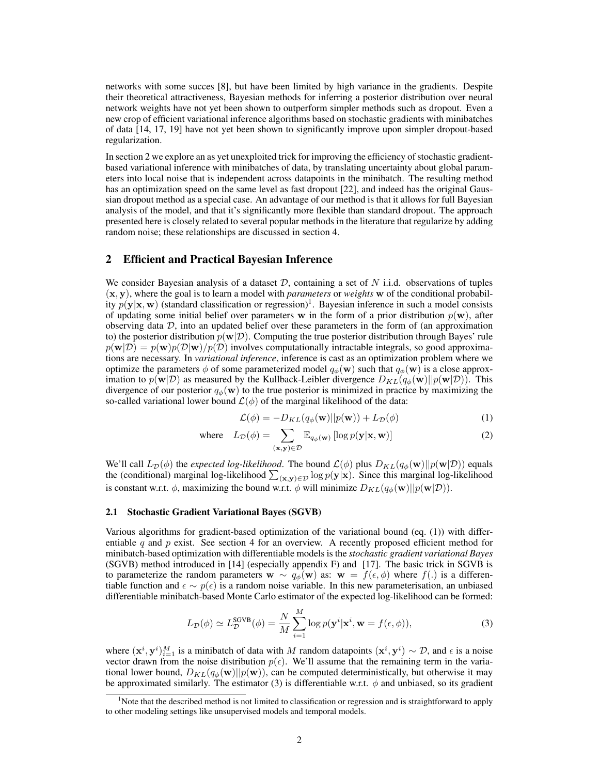networks with some succes [\[8\]](#page-8-5), but have been limited by high variance in the gradients. Despite their theoretical attractiveness, Bayesian methods for inferring a posterior distribution over neural network weights have not yet been shown to outperform simpler methods such as dropout. Even a new crop of efficient variational inference algorithms based on stochastic gradients with minibatches of data [\[14,](#page-8-6) [17,](#page-8-7) [19\]](#page-8-8) have not yet been shown to significantly improve upon simpler dropout-based regularization.

In section [2](#page-1-0) we explore an as yet unexploited trick for improving the efficiency of stochastic gradientbased variational inference with minibatches of data, by translating uncertainty about global parameters into local noise that is independent across datapoints in the minibatch. The resulting method has an optimization speed on the same level as fast dropout [\[22\]](#page-8-1), and indeed has the original Gaussian dropout method as a special case. An advantage of our method is that it allows for full Bayesian analysis of the model, and that it's significantly more flexible than standard dropout. The approach presented here is closely related to several popular methods in the literature that regularize by adding random noise; these relationships are discussed in section [4.](#page-5-0)

## <span id="page-1-0"></span>2 Efficient and Practical Bayesian Inference

We consider Bayesian analysis of a dataset *D*, containing a set of *N* i.i.d. observations of tuples (x*,* y), where the goal is to learn a model with *parameters* or *weights* w of the conditional probability  $p(y|x, w)$  (standard classification or regression)<sup>1</sup>. Bayesian inference in such a model consists of updating some initial belief over parameters w in the form of a prior distribution  $p(\mathbf{w})$ , after observing data *D*, into an updated belief over these parameters in the form of (an approximation to) the posterior distribution  $p(\mathbf{w}|\mathcal{D})$ . Computing the true posterior distribution through Bayes' rule  $p(\mathbf{w}|\mathcal{D}) = p(\mathbf{w})p(\mathcal{D}|\mathbf{w})/p(\mathcal{D})$  involves computationally intractable integrals, so good approximations are necessary. In *variational inference*, inference is cast as an optimization problem where we optimize the parameters  $\phi$  of some parameterized model  $q_{\phi}(\mathbf{w})$  such that  $q_{\phi}(\mathbf{w})$  is a close approximation to  $p(\mathbf{w}|\mathcal{D})$  as measured by the Kullback-Leibler divergence  $D_{KL}(q_{\phi}(\mathbf{w})||p(\mathbf{w}|\mathcal{D}))$ . This divergence of our posterior  $q_{\phi}(\mathbf{w})$  to the true posterior is minimized in practice by maximizing the so-called variational lower bound  $\mathcal{L}(\phi)$  of the marginal likelihood of the data:

<span id="page-1-4"></span><span id="page-1-2"></span>
$$
\mathcal{L}(\phi) = -D_{KL}(q_{\phi}(\mathbf{w})||p(\mathbf{w})) + L_{\mathcal{D}}(\phi)
$$
\n(1)

where 
$$
L_{\mathcal{D}}(\phi) = \sum_{(\mathbf{x}, \mathbf{y}) \in \mathcal{D}} \mathbb{E}_{q_{\phi}(\mathbf{w})} [\log p(\mathbf{y}|\mathbf{x}, \mathbf{w})]
$$
 (2)

We'll call  $L_{\mathcal{D}}(\phi)$  the *expected log-likelihood*. The bound  $\mathcal{L}(\phi)$  plus  $D_{KL}(q_{\phi}(\mathbf{w})||p(\mathbf{w}|\mathcal{D}))$  equals the (conditional) marginal log-likelihood  $\sum_{(\mathbf{x}, \mathbf{y}) \in \mathcal{D}} \log p(\mathbf{y}|\mathbf{x})$ . Since this margin is constant w.r.t.  $\phi$ , maximizing the bound w.r.t.  $\phi$  will minimize  $D_{KL}(q_{\phi}(\mathbf{w})||p(\mathbf{w}|\mathcal{D}))$ .

#### 2.1 Stochastic Gradient Variational Bayes (SGVB)

Various algorithms for gradient-based optimization of the variational bound (eq. [\(1\)](#page-1-2)) with differentiable *q* and *p* exist. See section [4](#page-5-0) for an overview. A recently proposed efficient method for minibatch-based optimization with differentiable models is the *stochastic gradient variational Bayes* (SGVB) method introduced in [\[14\]](#page-8-6) (especially appendix F) and [\[17\]](#page-8-7). The basic trick in SGVB is to parameterize the random parameters  $\mathbf{w} \sim q_{\phi}(\mathbf{w})$  as:  $\mathbf{w} = f(\epsilon, \phi)$  where  $f(.)$  is a differentiable function and  $\epsilon \sim p(\epsilon)$  is a random noise variable. In this new parameterisation, an unbiased differentiable minibatch-based Monte Carlo estimator of the expected log-likelihood can be formed:

<span id="page-1-3"></span>
$$
L_{\mathcal{D}}(\phi) \simeq L_{\mathcal{D}}^{\text{SGVB}}(\phi) = \frac{N}{M} \sum_{i=1}^{M} \log p(\mathbf{y}^{i} | \mathbf{x}^{i}, \mathbf{w} = f(\epsilon, \phi)),
$$
\n(3)

where  $(\mathbf{x}^i, \mathbf{y}^i)_{i=1}^M$  is a minibatch of data with *M* random datapoints  $(\mathbf{x}^i, \mathbf{y}^i) \sim \mathcal{D}$ , and  $\epsilon$  is a noise vector drawn from the noise distribution  $p(\epsilon)$ . We'll assume that the remaining term in the variational lower bound,  $D_{KL}(q_{\phi}(\mathbf{w})||p(\mathbf{w}))$ , can be computed deterministically, but otherwise it may be approximated similarly. The estimator [\(3\)](#page-1-3) is differentiable w.r.t.  $\phi$  and unbiased, so its gradient

<span id="page-1-1"></span><sup>&</sup>lt;sup>1</sup>Note that the described method is not limited to classification or regression and is straightforward to apply to other modeling settings like unsupervised models and temporal models.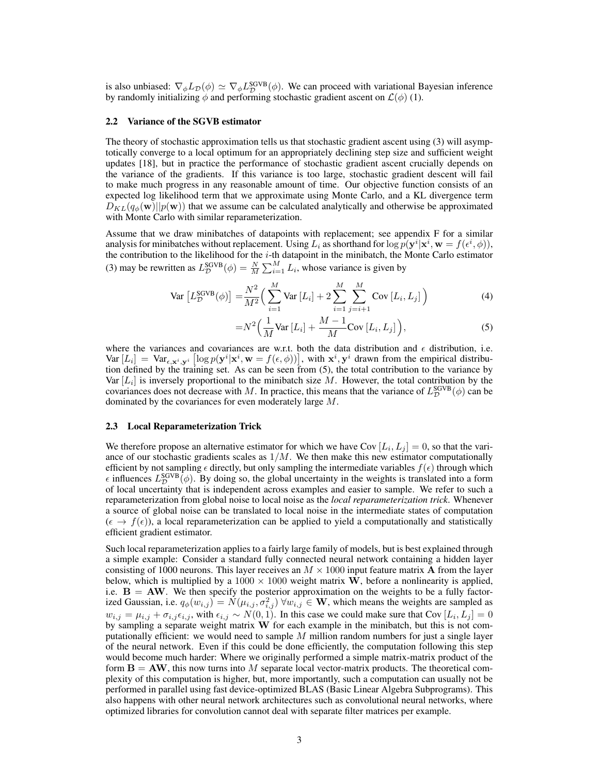is also unbiased:  $\nabla_{\phi} L_{\mathcal{D}}(\phi) \simeq \nabla_{\phi} L_{\mathcal{D}}^{\text{SGVB}}(\phi)$ . We can proceed with variational Bayesian inference by randomly initializing  $\phi$  and performing stochastic gradient ascent on  $\mathcal{L}(\phi)$  [\(1\)](#page-1-2).

#### 2.2 Variance of the SGVB estimator

The theory of stochastic approximation tells us that stochastic gradient ascent using [\(3\)](#page-1-3) will asymptotically converge to a local optimum for an appropriately declining step size and sufficient weight updates [\[18\]](#page-8-9), but in practice the performance of stochastic gradient ascent crucially depends on the variance of the gradients. If this variance is too large, stochastic gradient descent will fail to make much progress in any reasonable amount of time. Our objective function consists of an expected log likelihood term that we approximate using Monte Carlo, and a KL divergence term  $D_{KL}(q_{\phi}(\mathbf{w})||p(\mathbf{w}))$  that we assume can be calculated analytically and otherwise be approximated with Monte Carlo with similar reparameterization.

Assume that we draw minibatches of datapoints with replacement; see appendix [F](#page-0-0) for a similar analysis for minibatches without replacement. Using  $L_i$  as shorthand for  $\log p(\mathbf{y}^i | \mathbf{x}^i, \mathbf{w} = f(\epsilon^i, \phi))$ , the contribution to the likelihood for the *i*-th datapoint in the minibatch, the Monte Carlo estimator [\(3\)](#page-1-3) may be rewritten as  $L_{\mathcal{D}}^{\text{SGVB}}(\phi) = \frac{N}{M} \sum_{i=1}^{M} L_i$ , whose variance is given by

Var 
$$
[L_{\mathcal{D}}^{\text{SGVB}}(\phi)] = \frac{N^2}{M^2} \left( \sum_{i=1}^{M} \text{Var} [L_i] + 2 \sum_{i=1}^{M} \sum_{j=i+1}^{M} \text{Cov} [L_i, L_j] \right)
$$
 (4)

<span id="page-2-0"></span>
$$
=N^2\left(\frac{1}{M}\text{Var}\left[L_i\right]+\frac{M-1}{M}\text{Cov}\left[L_i,L_j\right]\right),\tag{5}
$$

where the variances and covariances are w.r.t. both the data distribution and  $\epsilon$  distribution, i.e.  $Var [L_i] = Var_{\epsilon, \mathbf{x}^i, \mathbf{y}^i} [\log p(\mathbf{y}^i | \mathbf{x}^i, \mathbf{w} = f(\epsilon, \phi))]$ , with  $\mathbf{x}^i, \mathbf{y}^i$  drawn from the empirical distribution defined by the training set. As can be seen from [\(5\)](#page-2-0), the total contribution to the variance by Var  $[L_i]$  is inversely proportional to the minibatch size M. However, the total contribution by the covariances does not decrease with *M*. In practice, this means that the variance of  $L_{\mathcal{D}}^{\text{SGVB}}(\phi)$  can be dominated by the covariances for even moderately large *M*.

#### <span id="page-2-1"></span>2.3 Local Reparameterization Trick

We therefore propose an alternative estimator for which we have Cov  $[L_i, L_j] = 0$ , so that the variance of our stochastic gradients scales as  $1/M$ . We then make this new estimator computationally efficient by not sampling  $\epsilon$  directly, but only sampling the intermediate variables  $f(\epsilon)$  through which  $\epsilon$  influences  $L_{\mathcal{D}}^{\text{SGVB}}(\phi)$ . By doing so, the global uncertainty in the weights is translated into a form of local uncertainty that is independent across examples and easier to sample. We refer to such a reparameterization from global noise to local noise as the *local reparameterization trick*. Whenever a source of global noise can be translated to local noise in the intermediate states of computation  $(\epsilon \rightarrow f(\epsilon))$ , a local reparameterization can be applied to yield a computationally and statistically efficient gradient estimator.

Such local reparameterization applies to a fairly large family of models, but is best explained through a simple example: Consider a standard fully connected neural network containing a hidden layer consisting of 1000 neurons. This layer receives an  $M \times 1000$  input feature matrix **A** from the layer below, which is multiplied by a  $1000 \times 1000$  weight matrix W, before a nonlinearity is applied, i.e.  $B = AW$ . We then specify the posterior approximation on the weights to be a fully factorized Gaussian, i.e.  $q_{\phi}(w_{i,j}) = N(\mu_{i,j}, \sigma_{i,j}^2)$   $\forall w_{i,j} \in \mathbf{W}$ , which means the weights are sampled as  $w_{i,j} = \mu_{i,j} + \sigma_{i,j} \epsilon_{i,j}$ , with  $\epsilon_{i,j} \sim N(0,1)$ . In this case we could make sure that Cov  $[L_i, L_j] = 0$ by sampling a separate weight matrix W for each example in the minibatch, but this is not computationally efficient: we would need to sample *M* million random numbers for just a single layer of the neural network. Even if this could be done efficiently, the computation following this step would become much harder: Where we originally performed a simple matrix-matrix product of the form  $B = AW$ , this now turns into M separate local vector-matrix products. The theoretical complexity of this computation is higher, but, more importantly, such a computation can usually not be performed in parallel using fast device-optimized BLAS (Basic Linear Algebra Subprograms). This also happens with other neural network architectures such as convolutional neural networks, where optimized libraries for convolution cannot deal with separate filter matrices per example.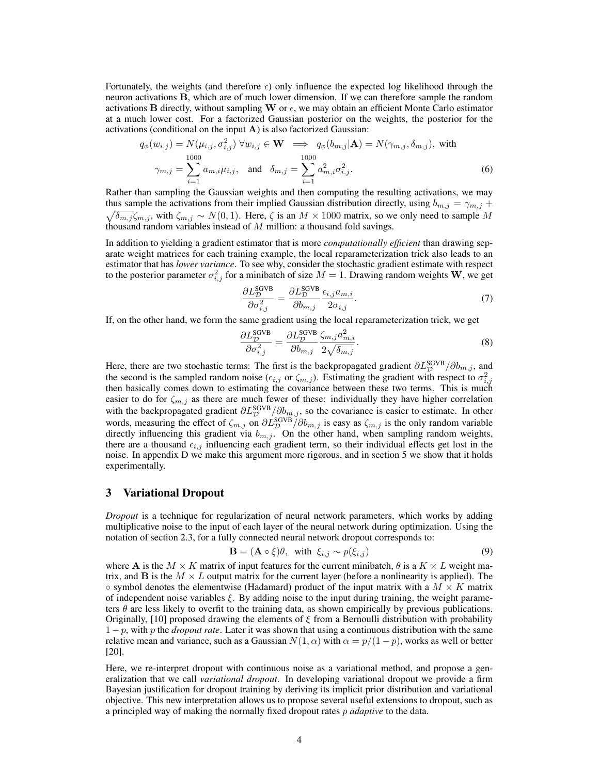Fortunately, the weights (and therefore  $\epsilon$ ) only influence the expected log likelihood through the neuron activations B, which are of much lower dimension. If we can therefore sample the random activations **B** directly, without sampling **W** or  $\epsilon$ , we may obtain an efficient Monte Carlo estimator at a much lower cost. For a factorized Gaussian posterior on the weights, the posterior for the activations (conditional on the input A) is also factorized Gaussian:

$$
q_{\phi}(w_{i,j}) = N(\mu_{i,j}, \sigma_{i,j}^2) \,\forall w_{i,j} \in \mathbf{W} \implies q_{\phi}(b_{m,j}|\mathbf{A}) = N(\gamma_{m,j}, \delta_{m,j}), \text{ with}
$$

$$
\gamma_{m,j} = \sum_{i=1}^{1000} a_{m,i} \mu_{i,j}, \text{ and } \delta_{m,j} = \sum_{i=1}^{1000} a_{m,i}^2 \sigma_{i,j}^2. \tag{6}
$$

Rather than sampling the Gaussian weights and then computing the resulting activations, we may thus sample the activations from their implied Gaussian distribution directly, using  $b_{m,j} = \gamma_{m,j} +$  $\sqrt{\delta_{m,j}}\zeta_{m,j}$ , with  $\zeta_{m,j} \sim N(0,1)$ . Here,  $\zeta$  is an  $M \times 1000$  matrix, so we only need to sample M thousand random variables instead of *M* million: a thousand fold savings.

In addition to yielding a gradient estimator that is more *computationally efficient* than drawing separate weight matrices for each training example, the local reparameterization trick also leads to an estimator that has *lower variance*. To see why, consider the stochastic gradient estimate with respect to the posterior parameter  $\sigma_{i,j}^2$  for a minibatch of size  $M = 1$ . Drawing random weights **W**, we get

$$
\frac{\partial L_{\mathcal{D}}^{\text{SCVB}}}{\partial \sigma_{i,j}^2} = \frac{\partial L_{\mathcal{D}}^{\text{SCVB}}}{\partial b_{m,j}} \frac{\epsilon_{i,j} a_{m,i}}{2\sigma_{i,j}}.
$$
\n(7)

If, on the other hand, we form the same gradient using the local reparameterization trick, we get

$$
\frac{\partial L_D^{\text{SGVB}}}{\partial \sigma_{i,j}^2} = \frac{\partial L_D^{\text{SGVB}}}{\partial b_{m,j}} \frac{\zeta_{m,j} a_{m,i}^2}{2\sqrt{\delta_{m,j}}}.
$$
\n(8)

Here, there are two stochastic terms: The first is the backpropagated gradient  $\partial L_{\mathcal{D}}^{\text{SGVB}}/\partial b_{m,j}$ , and the second is the sampled random noise ( $\epsilon_{i,j}$  or  $\zeta_{m,j}$ ). Estimating the gradient with respect to  $\sigma_{i,j}^2$  then basically comes down to estimating the covariance between these two terms. This is much easier to do for  $\zeta_{m,j}$  as there are much fewer of these: individually they have higher correlation with the backpropagated gradient  $\partial L_{\mathcal{D}}^{\text{SGVB}}/\partial b_{m,j}$ , so the covariance is easier to estimate. In other words, measuring the effect of  $\zeta_{m,j}$  on  $\partial L_{\mathcal{D}}^{\text{SGVB}}/\partial b_{m,j}$  is easy as  $\zeta_{m,j}$  is the only random variable directly influencing this gradient via  $b_{m,j}$ . On the other hand, when sampling random weights, there are a thousand  $\epsilon_{i,j}$  influencing each gradient term, so their individual effects get lost in the noise. In appendix [D](#page-0-0) we make this argument more rigorous, and in section [5](#page-6-0) we show that it holds experimentally.

## 3 Variational Dropout

*Dropout* is a technique for regularization of neural network parameters, which works by adding multiplicative noise to the input of each layer of the neural network during optimization. Using the notation of section [2.3,](#page-2-1) for a fully connected neural network dropout corresponds to:

<span id="page-3-0"></span>
$$
\mathbf{B} = (\mathbf{A} \circ \xi)\theta, \text{ with } \xi_{i,j} \sim p(\xi_{i,j})
$$
\n(9)

where **A** is the  $M \times K$  matrix of input features for the current minibatch,  $\theta$  is a  $K \times L$  weight matrix, and **B** is the  $M \times L$  output matrix for the current layer (before a nonlinearity is applied). The  $\circ$  symbol denotes the elementwise (Hadamard) product of the input matrix with a  $M \times K$  matrix of independent noise variables  $\xi$ . By adding noise to the input during training, the weight parameters  $\theta$  are less likely to overfit to the training data, as shown empirically by previous publications. Originally, [\[10\]](#page-8-0) proposed drawing the elements of  $\xi$  from a Bernoulli distribution with probability  $1-p$ , with *p* the *dropout rate*. Later it was shown that using a continuous distribution with the same relative mean and variance, such as a Gaussian  $N(1, \alpha)$  with  $\alpha = p/(1-p)$ , works as well or better [\[20\]](#page-8-10).

Here, we re-interpret dropout with continuous noise as a variational method, and propose a generalization that we call *variational dropout*. In developing variational dropout we provide a firm Bayesian justification for dropout training by deriving its implicit prior distribution and variational objective. This new interpretation allows us to propose several useful extensions to dropout, such as a principled way of making the normally fixed dropout rates *p adaptive* to the data.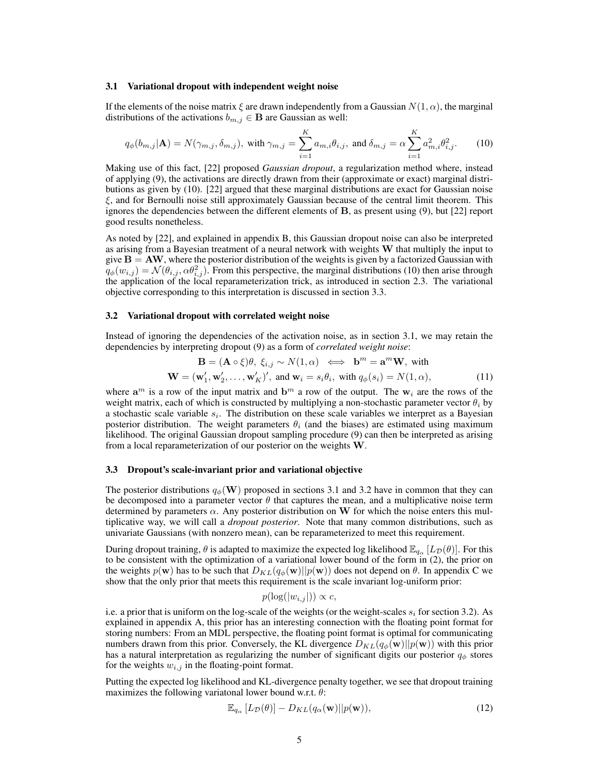#### <span id="page-4-2"></span>3.1 Variational dropout with independent weight noise

If the elements of the noise matrix  $\xi$  are drawn independently from a Gaussian  $N(1,\alpha)$ , the marginal distributions of the activations  $b_{m,j} \in \mathbf{B}$  are Gaussian as well:

<span id="page-4-0"></span>
$$
q_{\phi}(b_{m,j}|\mathbf{A}) = N(\gamma_{m,j}, \delta_{m,j}), \text{ with } \gamma_{m,j} = \sum_{i=1}^{K} a_{m,i} \theta_{i,j}, \text{ and } \delta_{m,j} = \alpha \sum_{i=1}^{K} a_{m,i}^{2} \theta_{i,j}^{2}.
$$
 (10)

Making use of this fact, [\[22\]](#page-8-1) proposed *Gaussian dropout*, a regularization method where, instead of applying [\(9\)](#page-3-0), the activations are directly drawn from their (approximate or exact) marginal distributions as given by [\(10\)](#page-4-0). [\[22\]](#page-8-1) argued that these marginal distributions are exact for Gaussian noise  $\xi$ , and for Bernoulli noise still approximately Gaussian because of the central limit theorem. This ignores the dependencies between the different elements of B, as present using [\(9\)](#page-3-0), but [\[22\]](#page-8-1) report good results nonetheless.

As noted by [\[22\]](#page-8-1), and explained in appendix [B,](#page-0-1) this Gaussian dropout noise can also be interpreted as arising from a Bayesian treatment of a neural network with weights  $W$  that multiply the input to give  $B = AW$ , where the posterior distribution of the weights is given by a factorized Gaussian with  $q_{\phi}(w_{i,j}) = \mathcal{N}(\theta_{i,j}, \alpha \theta_{i,j}^2)$ . From this perspective, the marginal distributions [\(10\)](#page-4-0) then arise through the application of the local reparameterization trick, as introduced in section [2.3.](#page-2-1) The variational objective corresponding to this interpretation is discussed in section [3.3.](#page-4-1)

#### <span id="page-4-3"></span>3.2 Variational dropout with correlated weight noise

Instead of ignoring the dependencies of the activation noise, as in section [3.1,](#page-4-2) we may retain the dependencies by interpreting dropout [\(9\)](#page-3-0) as a form of *correlated weight noise*:

$$
\mathbf{B} = (\mathbf{A} \circ \xi)\theta, \ \xi_{i,j} \sim N(1,\alpha) \iff \mathbf{b}^m = \mathbf{a}^m \mathbf{W}, \text{ with}
$$

$$
\mathbf{W} = (\mathbf{w}'_1, \mathbf{w}'_2, \dots, \mathbf{w}'_K)', \text{ and } \mathbf{w}_i = s_i \theta_i, \text{ with } q_\phi(s_i) = N(1,\alpha), \tag{11}
$$

where  $a^m$  is a row of the input matrix and  $b^m$  a row of the output. The  $w_i$  are the rows of the weight matrix, each of which is constructed by multiplying a non-stochastic parameter vector  $\theta_i$  by a stochastic scale variable *si*. The distribution on these scale variables we interpret as a Bayesian posterior distribution. The weight parameters  $\theta_i$  (and the biases) are estimated using maximum likelihood. The original Gaussian dropout sampling procedure [\(9\)](#page-3-0) can then be interpreted as arising from a local reparameterization of our posterior on the weights  $W$ .

#### <span id="page-4-1"></span>3.3 Dropout's scale-invariant prior and variational objective

The posterior distributions  $q_{\phi}(\mathbf{W})$  proposed in sections [3.1](#page-4-2) and [3.2](#page-4-3) have in common that they can be decomposed into a parameter vector  $\theta$  that captures the mean, and a multiplicative noise term determined by parameters  $\alpha$ . Any posterior distribution on W for which the noise enters this multiplicative way, we will call a *dropout posterior*. Note that many common distributions, such as univariate Gaussians (with nonzero mean), can be reparameterized to meet this requirement.

During dropout training,  $\theta$  is adapted to maximize the expected log likelihood  $\mathbb{E}_{q_\alpha}[L_{\mathcal{D}}(\theta)]$ . For this to be consistent with the optimization of a variational lower bound of the form in [\(2\)](#page-1-4), the prior on the weights  $p(\mathbf{w})$  has to be such that  $D_{KL}(q_{\phi}(\mathbf{w})||p(\mathbf{w}))$  does not depend on  $\theta$ . In appendix [C](#page-0-2) we show that the only prior that meets this requirement is the scale invariant log-uniform prior:

<span id="page-4-4"></span>
$$
p(\log(|w_{i,j}|)) \propto c,
$$

i.e. a prior that is uniform on the log-scale of the weights (or the weight-scales  $s_i$  for section [3.2\)](#page-4-3). As explained in appendix [A,](#page-0-0) this prior has an interesting connection with the floating point format for storing numbers: From an MDL perspective, the floating point format is optimal for communicating numbers drawn from this prior. Conversely, the KL divergence  $D_{KL}(q_{\phi}(\mathbf{w})||p(\mathbf{w}))$  with this prior has a natural interpretation as regularizing the number of significant digits our posterior  $q_{\phi}$  stores for the weights  $w_{i,j}$  in the floating-point format.

Putting the expected log likelihood and KL-divergence penalty together, we see that dropout training maximizes the following variatonal lower bound w.r.t.  $\theta$ :

$$
\mathbb{E}_{q_{\alpha}}\left[L_{\mathcal{D}}(\theta)\right] - D_{KL}(q_{\alpha}(\mathbf{w})||p(\mathbf{w})),\tag{12}
$$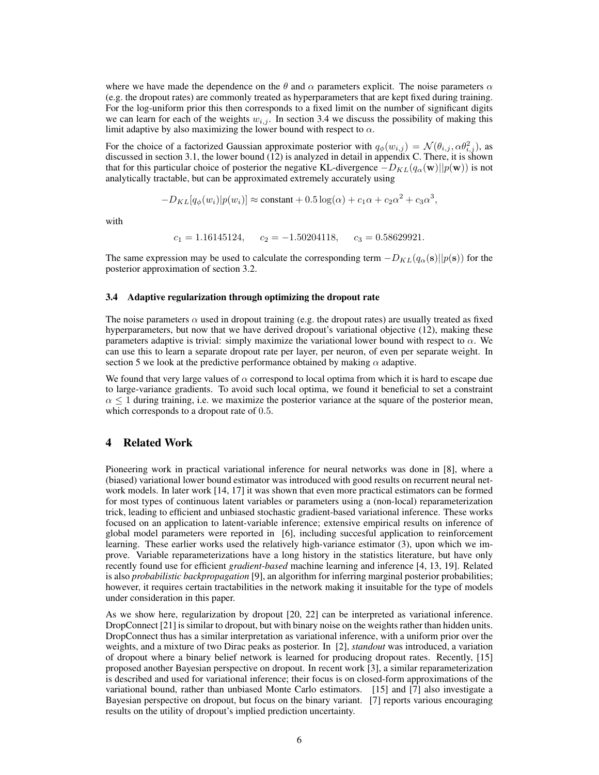where we have made the dependence on the  $\theta$  and  $\alpha$  parameters explicit. The noise parameters  $\alpha$ (e.g. the dropout rates) are commonly treated as hyperparameters that are kept fixed during training. For the log-uniform prior this then corresponds to a fixed limit on the number of significant digits we can learn for each of the weights  $w_{i,j}$ . In section [3.4](#page-5-1) we discuss the possibility of making this limit adaptive by also maximizing the lower bound with respect to  $\alpha$ .

For the choice of a factorized Gaussian approximate posterior with  $q_{\phi}(w_{i,j}) = \mathcal{N}(\theta_{i,j}, \alpha \theta_{i,j}^2)$ , as discussed in section [3.1,](#page-4-2) the lower bound [\(12\)](#page-4-4) is analyzed in detail in appendix [C.](#page-0-2) There, it is shown that for this particular choice of posterior the negative KL-divergence  $-D_{KL}(q_{\alpha}(\mathbf{w})||p(\mathbf{w}))$  is not analytically tractable, but can be approximated extremely accurately using

$$
-D_{KL}[q_{\phi}(w_i)|p(w_i)] \approx \text{constant} + 0.5\log(\alpha) + c_1\alpha + c_2\alpha^2 + c_3\alpha^3,
$$

with

$$
c_1 = 1.16145124
$$
,  $c_2 = -1.50204118$ ,  $c_3 = 0.58629921$ .

The same expression may be used to calculate the corresponding term  $-D_{KL}(q_\alpha(s)||p(s))$  for the posterior approximation of section [3.2.](#page-4-3)

#### <span id="page-5-1"></span>3.4 Adaptive regularization through optimizing the dropout rate

The noise parameters  $\alpha$  used in dropout training (e.g. the dropout rates) are usually treated as fixed hyperparameters, but now that we have derived dropout's variational objective [\(12\)](#page-4-4), making these parameters adaptive is trivial: simply maximize the variational lower bound with respect to  $\alpha$ . We can use this to learn a separate dropout rate per layer, per neuron, of even per separate weight. In section [5](#page-6-0) we look at the predictive performance obtained by making  $\alpha$  adaptive.

We found that very large values of  $\alpha$  correspond to local optima from which it is hard to escape due to large-variance gradients. To avoid such local optima, we found it beneficial to set a constraint  $\alpha \leq 1$  during training, i.e. we maximize the posterior variance at the square of the posterior mean, which corresponds to a dropout rate of 0*.*5.

# <span id="page-5-0"></span>4 Related Work

Pioneering work in practical variational inference for neural networks was done in [\[8\]](#page-8-5), where a (biased) variational lower bound estimator was introduced with good results on recurrent neural network models. In later work [\[14,](#page-8-6) [17\]](#page-8-7) it was shown that even more practical estimators can be formed for most types of continuous latent variables or parameters using a (non-local) reparameterization trick, leading to efficient and unbiased stochastic gradient-based variational inference. These works focused on an application to latent-variable inference; extensive empirical results on inference of global model parameters were reported in [\[6\]](#page-8-11), including succesful application to reinforcement learning. These earlier works used the relatively high-variance estimator [\(3\)](#page-1-3), upon which we improve. Variable reparameterizations have a long history in the statistics literature, but have only recently found use for efficient *gradient-based* machine learning and inference [\[4,](#page-7-1) [13,](#page-8-12) [19\]](#page-8-8). Related is also *probabilistic backpropagation* [\[9\]](#page-8-13), an algorithm for inferring marginal posterior probabilities; however, it requires certain tractabilities in the network making it insuitable for the type of models under consideration in this paper.

As we show here, regularization by dropout [\[20,](#page-8-10) [22\]](#page-8-1) can be interpreted as variational inference. DropConnect [\[21\]](#page-8-14) is similar to dropout, but with binary noise on the weights rather than hidden units. DropConnect thus has a similar interpretation as variational inference, with a uniform prior over the weights, and a mixture of two Dirac peaks as posterior. In [\[2\]](#page-7-2), *standout* was introduced, a variation of dropout where a binary belief network is learned for producing dropout rates. Recently, [\[15\]](#page-8-15) proposed another Bayesian perspective on dropout. In recent work [\[3\]](#page-7-3), a similar reparameterization is described and used for variational inference; their focus is on closed-form approximations of the variational bound, rather than unbiased Monte Carlo estimators. [\[15\]](#page-8-15) and [\[7\]](#page-8-16) also investigate a Bayesian perspective on dropout, but focus on the binary variant. [\[7\]](#page-8-16) reports various encouraging results on the utility of dropout's implied prediction uncertainty.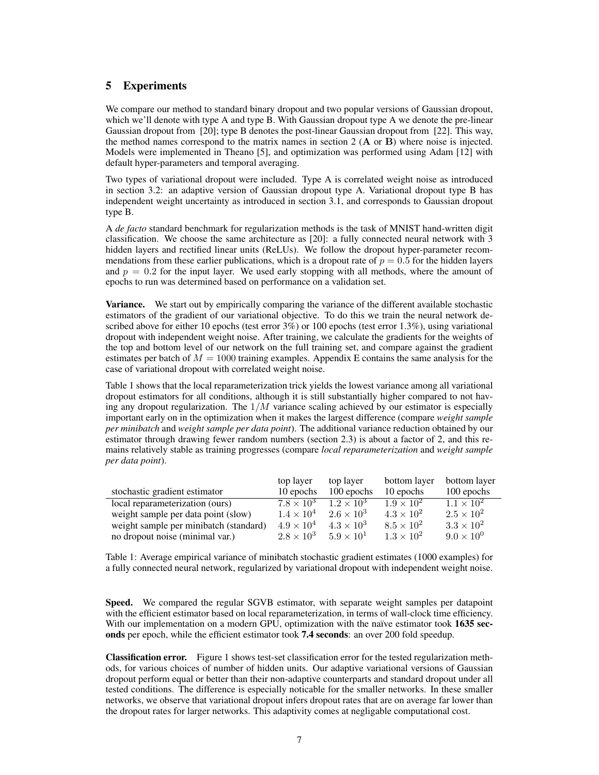# <span id="page-6-0"></span>5 Experiments

We compare our method to standard binary dropout and two popular versions of Gaussian dropout, which we'll denote with type A and type B. With Gaussian dropout type A we denote the pre-linear Gaussian dropout from [\[20\]](#page-8-10); type B denotes the post-linear Gaussian dropout from [\[22\]](#page-8-1). This way, the method names correspond to the matrix names in section  $2(A \text{ or } B)$  where noise is injected. Models were implemented in Theano [\[5\]](#page-8-17), and optimization was performed using Adam [\[12\]](#page-8-18) with default hyper-parameters and temporal averaging.

Two types of variational dropout were included. Type A is correlated weight noise as introduced in section [3.2:](#page-4-3) an adaptive version of Gaussian dropout type A. Variational dropout type B has independent weight uncertainty as introduced in section [3.1,](#page-4-2) and corresponds to Gaussian dropout type B.

A *de facto* standard benchmark for regularization methods is the task of MNIST hand-written digit classification. We choose the same architecture as [\[20\]](#page-8-10): a fully connected neural network with 3 hidden layers and rectified linear units (ReLUs). We follow the dropout hyper-parameter recommendations from these earlier publications, which is a dropout rate of  $p = 0.5$  for the hidden layers and  $p = 0.2$  for the input layer. We used early stopping with all methods, where the amount of epochs to run was determined based on performance on a validation set.

**Variance.** We start out by empirically comparing the variance of the different available stochastic estimators of the gradient of our variational objective. To do this we train the neural network described above for either 10 epochs (test error 3%) or 100 epochs (test error 1.3%), using variational dropout with independent weight noise. After training, we calculate the gradients for the weights of the top and bottom level of our network on the full training set, and compare against the gradient estimates per batch of  $M = 1000$  training examples. Appendix [E](#page-0-3) contains the same analysis for the case of variational dropout with correlated weight noise.

Table [1](#page-6-1) shows that the local reparameterization trick yields the lowest variance among all variational dropout estimators for all conditions, although it is still substantially higher compared to not having any dropout regularization. The 1*/M* variance scaling achieved by our estimator is especially important early on in the optimization when it makes the largest difference (compare *weight sample per minibatch* and *weight sample per data point*). The additional variance reduction obtained by our estimator through drawing fewer random numbers (section [2.3\)](#page-2-1) is about a factor of 2, and this remains relatively stable as training progresses (compare *local reparameterization* and *weight sample per data point*).

<span id="page-6-1"></span>

|                                        | top layer           | top layer           | bottom layer        | bottom layer        |
|----------------------------------------|---------------------|---------------------|---------------------|---------------------|
| stochastic gradient estimator          | 10 epochs           | 100 epochs          | 10 epochs           | 100 epochs          |
| local reparameterization (ours)        | $7.8 \times 10^3$   | $1.2 \times 10^3$   | $1.9 \times 10^{2}$ | $1.1 \times 10^2$   |
| weight sample per data point (slow)    | $1.4 \times 10^{4}$ | $2.6 \times 10^3$   | $4.3 \times 10^{2}$ | $2.5 \times 10^2$   |
| weight sample per minibatch (standard) | $4.9 \times 10^{4}$ | $4.3 \times 10^{3}$ | $8.5 \times 10^2$   | $3.3 \times 10^2$   |
| no dropout noise (minimal var.)        | $2.8 \times 10^3$   | $5.9 \times 10^{1}$ | $1.3 \times 10^2$   | $9.0 \times 10^{0}$ |

Table 1: Average empirical variance of minibatch stochastic gradient estimates (1000 examples) for a fully connected neural network, regularized by variational dropout with independent weight noise.

Speed. We compared the regular SGVB estimator, with separate weight samples per datapoint with the efficient estimator based on local reparameterization, in terms of wall-clock time efficiency. With our implementation on a modern GPU, optimization with the naïve estimator took 1635 seconds per epoch, while the efficient estimator took 7.4 seconds: an over 200 fold speedup.

Classification error. Figure [1](#page-7-4) shows test-set classification error for the tested regularization methods, for various choices of number of hidden units. Our adaptive variational versions of Gaussian dropout perform equal or better than their non-adaptive counterparts and standard dropout under all tested conditions. The difference is especially noticable for the smaller networks. In these smaller networks, we observe that variational dropout infers dropout rates that are on average far lower than the dropout rates for larger networks. This adaptivity comes at negligable computational cost.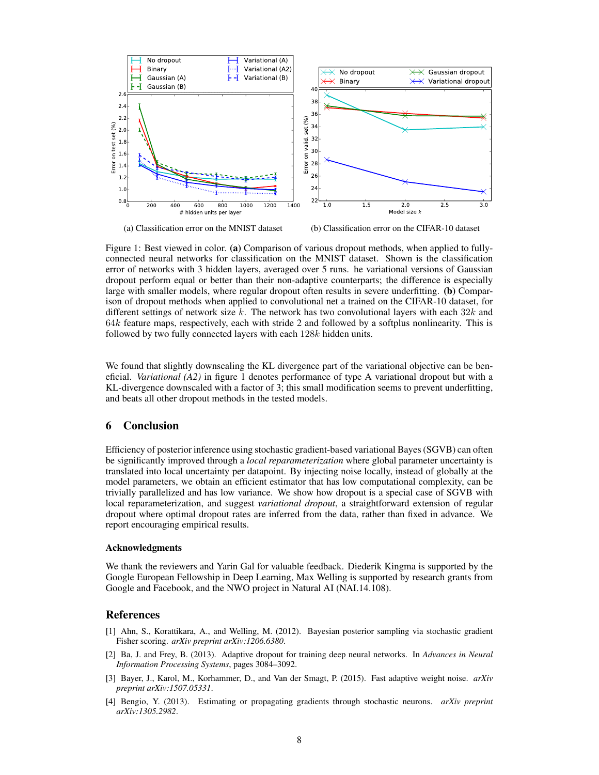<span id="page-7-4"></span>

(a) Classification error on the MNIST dataset (b) Classification error on the CIFAR-10 dataset

Figure 1: Best viewed in color. (a) Comparison of various dropout methods, when applied to fullyconnected neural networks for classification on the MNIST dataset. Shown is the classification error of networks with 3 hidden layers, averaged over 5 runs. he variational versions of Gaussian dropout perform equal or better than their non-adaptive counterparts; the difference is especially large with smaller models, where regular dropout often results in severe underfitting. (b) Comparison of dropout methods when applied to convolutional net a trained on the CIFAR-10 dataset, for different settings of network size *k*. The network has two convolutional layers with each 32*k* and 64*k* feature maps, respectively, each with stride 2 and followed by a softplus nonlinearity. This is followed by two fully connected layers with each 128*k* hidden units.

We found that slightly downscaling the KL divergence part of the variational objective can be beneficial. *Variational (A2)* in figure [1](#page-7-4) denotes performance of type A variational dropout but with a KL-divergence downscaled with a factor of 3; this small modification seems to prevent underfitting, and beats all other dropout methods in the tested models.

# 6 Conclusion

Efficiency of posterior inference using stochastic gradient-based variational Bayes (SGVB) can often be significantly improved through a *local reparameterization* where global parameter uncertainty is translated into local uncertainty per datapoint. By injecting noise locally, instead of globally at the model parameters, we obtain an efficient estimator that has low computational complexity, can be trivially parallelized and has low variance. We show how dropout is a special case of SGVB with local reparameterization, and suggest *variational dropout*, a straightforward extension of regular dropout where optimal dropout rates are inferred from the data, rather than fixed in advance. We report encouraging empirical results.

## Acknowledgments

We thank the reviewers and Yarin Gal for valuable feedback. Diederik Kingma is supported by the Google European Fellowship in Deep Learning, Max Welling is supported by research grants from Google and Facebook, and the NWO project in Natural AI (NAI.14.108).

## References

- <span id="page-7-0"></span>[1] Ahn, S., Korattikara, A., and Welling, M. (2012). Bayesian posterior sampling via stochastic gradient Fisher scoring. *arXiv preprint arXiv:1206.6380*.
- <span id="page-7-2"></span>[2] Ba, J. and Frey, B. (2013). Adaptive dropout for training deep neural networks. In *Advances in Neural Information Processing Systems*, pages 3084–3092.
- <span id="page-7-3"></span>[3] Bayer, J., Karol, M., Korhammer, D., and Van der Smagt, P. (2015). Fast adaptive weight noise. *arXiv preprint arXiv:1507.05331*.
- <span id="page-7-1"></span>[4] Bengio, Y. (2013). Estimating or propagating gradients through stochastic neurons. *arXiv preprint arXiv:1305.2982*.